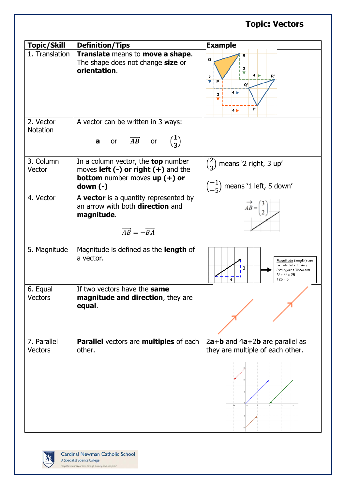## **Topic: Vectors Topic/Skill Definition/Tips Example** 1. Translation **Translate** means to **move a shape**. Q The shape does not change **size** or **orientation**.  $4<sub>l</sub>$  $\overline{\mathbf{a}}$ P  $4<sub>1</sub>$ 3 **D**  $4<sub>b</sub>$ 2. Vector A vector can be written in 3 ways: **Notation**  $\mathbf{1}$ **a** or  $\overrightarrow{AB}$  or  $\binom{1}{3}$  $\binom{2}{2}$ 3. Column In a column vector, the **top** number  $\binom{2}{3}$  means '2 right, 3 up' Vector moves **left (-) or right (+)** and the **bottom** number moves **up (+) or**   $\binom{-1}{5}$ **down (-)**  $\begin{bmatrix} -1 \\ -5 \end{bmatrix}$  means '1 left, 5 down' 4. Vector  $\vert$  A **vector** is a quantity represented by an arrow with both **direction** and  $\overrightarrow{AB}$  = **magnitude**.  $\overrightarrow{AB} = -\overrightarrow{BA}$ 5. Magnitude | Magnitude is defined as the **length** of a vector. Magnitude (length) can be calculated using 3 Pythagoras Theorem:<br> $3^2 + 4^2 = 25$  $125 = 5$ 6. Equal If two vectors have the **same magnitude and direction**, they are **Vectors equal**. 7. Parallel **Parallel** vectors are **multiples** of each 2**a**+**b** and 4**a**+2**b** are parallel as **Vectors** other. they are multiple of each other.